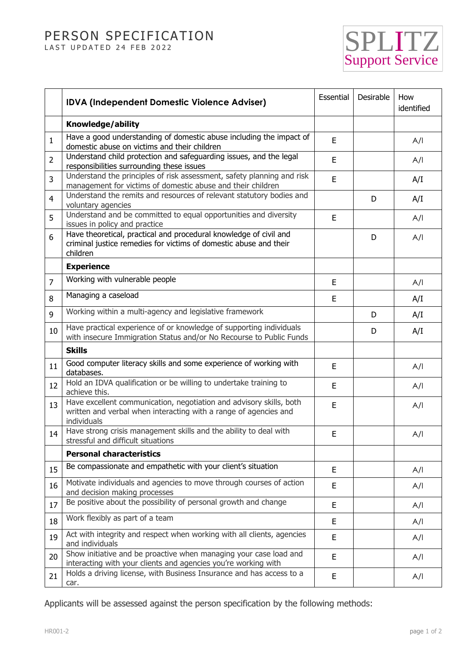## PERSON SPECIFICATION LAST UPDATED 24 FEB 2022

SPLITZ Support Service

|                | <b>IDVA (Independent Domestic Violence Adviser)</b>                                                                                                    | Essential | Desirable | How<br>identified |
|----------------|--------------------------------------------------------------------------------------------------------------------------------------------------------|-----------|-----------|-------------------|
|                | Knowledge/ability                                                                                                                                      |           |           |                   |
| $\mathbf{1}$   | Have a good understanding of domestic abuse including the impact of<br>domestic abuse on victims and their children                                    | E         |           | A/I               |
| $\overline{2}$ | Understand child protection and safeguarding issues, and the legal<br>responsibilities surrounding these issues                                        | E         |           | A/I               |
| 3              | Understand the principles of risk assessment, safety planning and risk<br>management for victims of domestic abuse and their children                  | E         |           | A/I               |
| 4              | Understand the remits and resources of relevant statutory bodies and<br>voluntary agencies                                                             |           | D         | A/I               |
| 5              | Understand and be committed to equal opportunities and diversity<br>issues in policy and practice                                                      | Ε         |           | A/I               |
| 6              | Have theoretical, practical and procedural knowledge of civil and<br>criminal justice remedies for victims of domestic abuse and their<br>children     |           | D         | A/I               |
|                | <b>Experience</b>                                                                                                                                      |           |           |                   |
| $\overline{7}$ | Working with vulnerable people                                                                                                                         | E         |           | A/I               |
| 8              | Managing a caseload                                                                                                                                    | E         |           | A/I               |
| 9              | Working within a multi-agency and legislative framework                                                                                                |           | D         | A/I               |
| 10             | Have practical experience of or knowledge of supporting individuals<br>with insecure Immigration Status and/or No Recourse to Public Funds             |           | D         | A/I               |
|                | <b>Skills</b>                                                                                                                                          |           |           |                   |
| 11             | Good computer literacy skills and some experience of working with<br>databases.                                                                        | E         |           | A/I               |
| 12             | Hold an IDVA qualification or be willing to undertake training to<br>achieve this.                                                                     | E         |           | A/I               |
| 13             | Have excellent communication, negotiation and advisory skills, both<br>written and verbal when interacting with a range of agencies and<br>individuals | E         |           | A/I               |
| 14             | Have strong crisis management skills and the ability to deal with<br>stressful and difficult situations                                                | E         |           | A/I               |
|                | <b>Personal characteristics</b>                                                                                                                        |           |           |                   |
| 15             | Be compassionate and empathetic with your client's situation                                                                                           | E         |           | A/I               |
| 16             | Motivate individuals and agencies to move through courses of action<br>and decision making processes                                                   | E         |           | A/I               |
| 17             | Be positive about the possibility of personal growth and change                                                                                        | E         |           | A/I               |
| 18             | Work flexibly as part of a team                                                                                                                        | E         |           | A/I               |
| 19             | Act with integrity and respect when working with all clients, agencies<br>and individuals                                                              | E         |           | A/I               |
| 20             | Show initiative and be proactive when managing your case load and<br>interacting with your clients and agencies you're working with                    | E         |           | A/I               |
| 21             | Holds a driving license, with Business Insurance and has access to a<br>car.                                                                           | E         |           | A/I               |

Applicants will be assessed against the person specification by the following methods: